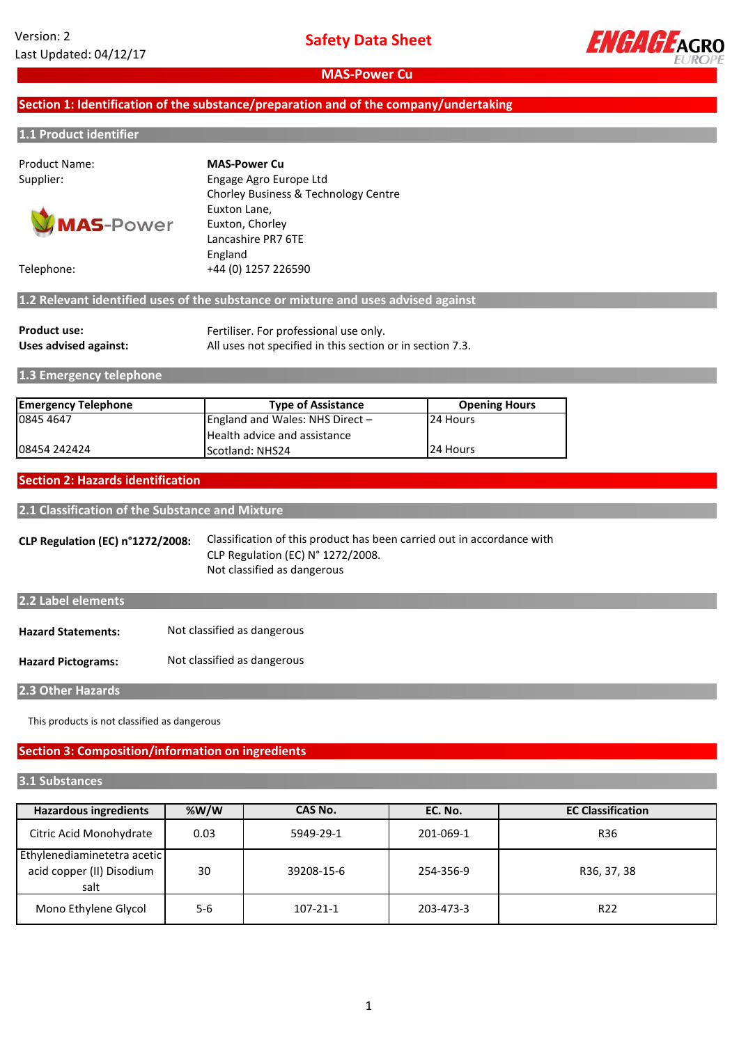

## **Section 1: Identification of the substance/preparation and of the company/undertaking**

#### **1.1 Product identifier**

Product Name:



Supplier: Engage Agro Europe Ltd Chorley Business & Technology Centre Euxton Lane, Euxton, Chorley Lancashire PR7 6TE England Telephone: +44 (0) 1257 226590 **MAS-Power Cu**

**1.2 Relevant identified uses of the substance or mixture and uses advised against**

| <b>Product use:</b>   | Fertiliser. For professional use only.                    |
|-----------------------|-----------------------------------------------------------|
| Uses advised against: | All uses not specified in this section or in section 7.3. |

**1.3 Emergency telephone**

| <b>Emergency Telephone</b> | <b>Type of Assistance</b>           | <b>Opening Hours</b> |
|----------------------------|-------------------------------------|----------------------|
| 0845 4647                  | England and Wales: NHS Direct $-$   | 24 Hours             |
|                            | <b>Health advice and assistance</b> |                      |
| 08454 242424               | <b>IScotland: NHS24</b>             | 24 Hours             |

#### **Section 2: Hazards identification**

**2.1 Classification of the Substance and Mixture**

**CLP Regulation (EC) n°1272/2008:** Classification of this product has been carried out in accordance with CLP Regulation (EC) N° 1272/2008. Not classified as dangerous

| 2.2 Label elements        |                             |
|---------------------------|-----------------------------|
| <b>Hazard Statements:</b> | Not classified as dangerous |
|                           |                             |

**Hazard Pictograms:** Not classified as dangerous

**2.3 Other Hazards**

This products is not classified as dangerous

## **Section 3: Composition/information on ingredients**

#### **3.1 Substances**

| <b>Hazardous ingredients</b>                                     | %W/W | CAS No.        | EC. No.   | <b>EC Classification</b> |
|------------------------------------------------------------------|------|----------------|-----------|--------------------------|
| Citric Acid Monohydrate                                          | 0.03 | 5949-29-1      | 201-069-1 | R36                      |
| Ethylenediaminetetra acetic<br>acid copper (II) Disodium<br>salt | 30   | 39208-15-6     | 254-356-9 | R36, 37, 38              |
| Mono Ethylene Glycol                                             | 5-6  | $107 - 21 - 1$ | 203-473-3 | R <sub>22</sub>          |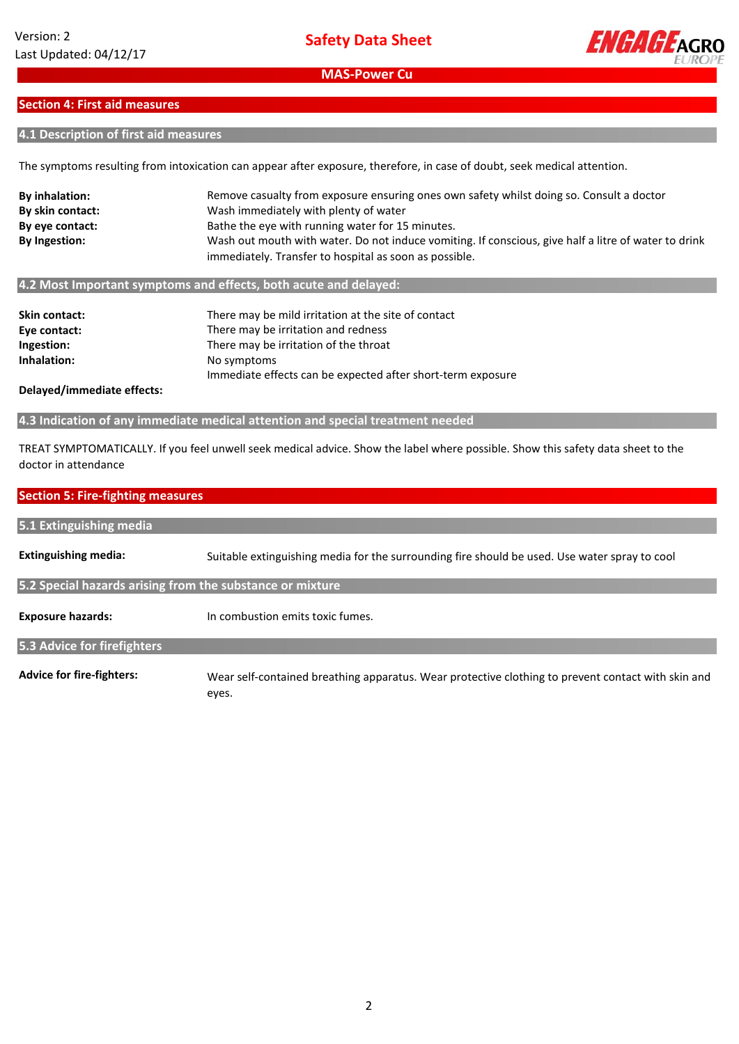

## **Section 4: First aid measures**

### **4.1 Description of first aid measures**

The symptoms resulting from intoxication can appear after exposure, therefore, in case of doubt, seek medical attention.

| <b>By inhalation:</b> | Remove casualty from exposure ensuring ones own safety whilst doing so. Consult a doctor                                                                       |
|-----------------------|----------------------------------------------------------------------------------------------------------------------------------------------------------------|
| By skin contact:      | Wash immediately with plenty of water                                                                                                                          |
| By eye contact:       | Bathe the eye with running water for 15 minutes.                                                                                                               |
| <b>By Ingestion:</b>  | Wash out mouth with water. Do not induce vomiting. If conscious, give half a litre of water to drink<br>immediately. Transfer to hospital as soon as possible. |
|                       | 4.2 Most Important symptoms and effects, both acute and delayed:                                                                                               |

| Skin contact: | There may be mild irritation at the site of contact         |
|---------------|-------------------------------------------------------------|
| Eye contact:  | There may be irritation and redness                         |
| Ingestion:    | There may be irritation of the throat                       |
| Inhalation:   | No symptoms                                                 |
|               | Immediate effects can be expected after short-term exposure |
|               |                                                             |

**Delayed/immediate effects:**

**4.3 Indication of any immediate medical attention and special treatment needed**

TREAT SYMPTOMATICALLY. If you feel unwell seek medical advice. Show the label where possible. Show this safety data sheet to the doctor in attendance

#### **Section 5: Fire-fighting measures**

| 5.1 Extinguishing media                                   |                                                                                                    |
|-----------------------------------------------------------|----------------------------------------------------------------------------------------------------|
| <b>Extinguishing media:</b>                               | Suitable extinguishing media for the surrounding fire should be used. Use water spray to cool      |
| 5.2 Special hazards arising from the substance or mixture |                                                                                                    |
| <b>Exposure hazards:</b>                                  | In combustion emits toxic fumes.                                                                   |
| 5.3 Advice for firefighters                               |                                                                                                    |
| <b>Advice for fire-fighters:</b>                          | Wear self-contained breathing apparatus. Wear protective clothing to prevent contact with skin and |

eyes.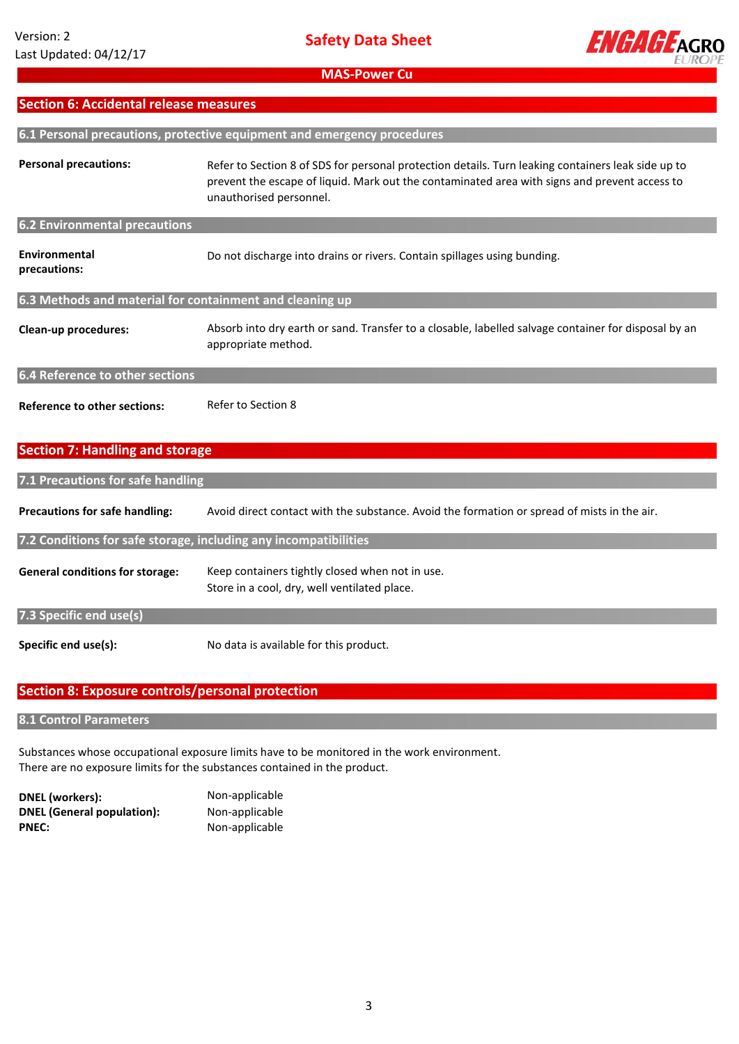

## **Section 6: Accidental release measures**

|                                                          | 6.1 Personal precautions, protective equipment and emergency procedures                                                                                                                                                        |  |  |
|----------------------------------------------------------|--------------------------------------------------------------------------------------------------------------------------------------------------------------------------------------------------------------------------------|--|--|
| <b>Personal precautions:</b>                             | Refer to Section 8 of SDS for personal protection details. Turn leaking containers leak side up to<br>prevent the escape of liquid. Mark out the contaminated area with signs and prevent access to<br>unauthorised personnel. |  |  |
| <b>6.2 Environmental precautions</b>                     |                                                                                                                                                                                                                                |  |  |
| Environmental<br>precautions:                            | Do not discharge into drains or rivers. Contain spillages using bunding.                                                                                                                                                       |  |  |
| 6.3 Methods and material for containment and cleaning up |                                                                                                                                                                                                                                |  |  |
| Clean-up procedures:                                     | Absorb into dry earth or sand. Transfer to a closable, labelled salvage container for disposal by an<br>appropriate method.                                                                                                    |  |  |
| 6.4 Reference to other sections                          |                                                                                                                                                                                                                                |  |  |
| <b>Reference to other sections:</b>                      | Refer to Section 8                                                                                                                                                                                                             |  |  |

## **Section 7: Handling and storage**

| 7.1 Precautions for safe handling      |                                                                                                 |  |  |  |
|----------------------------------------|-------------------------------------------------------------------------------------------------|--|--|--|
| <b>Precautions for safe handling:</b>  | Avoid direct contact with the substance. Avoid the formation or spread of mists in the air.     |  |  |  |
|                                        | 7.2 Conditions for safe storage, including any incompatibilities                                |  |  |  |
| <b>General conditions for storage:</b> | Keep containers tightly closed when not in use.<br>Store in a cool, dry, well ventilated place. |  |  |  |
| 7.3 Specific end use(s)                |                                                                                                 |  |  |  |
| Specific end use(s):                   | No data is available for this product.                                                          |  |  |  |

## **Section 8: Exposure controls/personal protection**

#### **8.1 Control Parameters**

Substances whose occupational exposure limits have to be monitored in the work environment. There are no exposure limits for the substances contained in the product.

**DNEL (workers):** Non-applicable **DNEL (General population):** Non-applicable PNEC: Non-applicable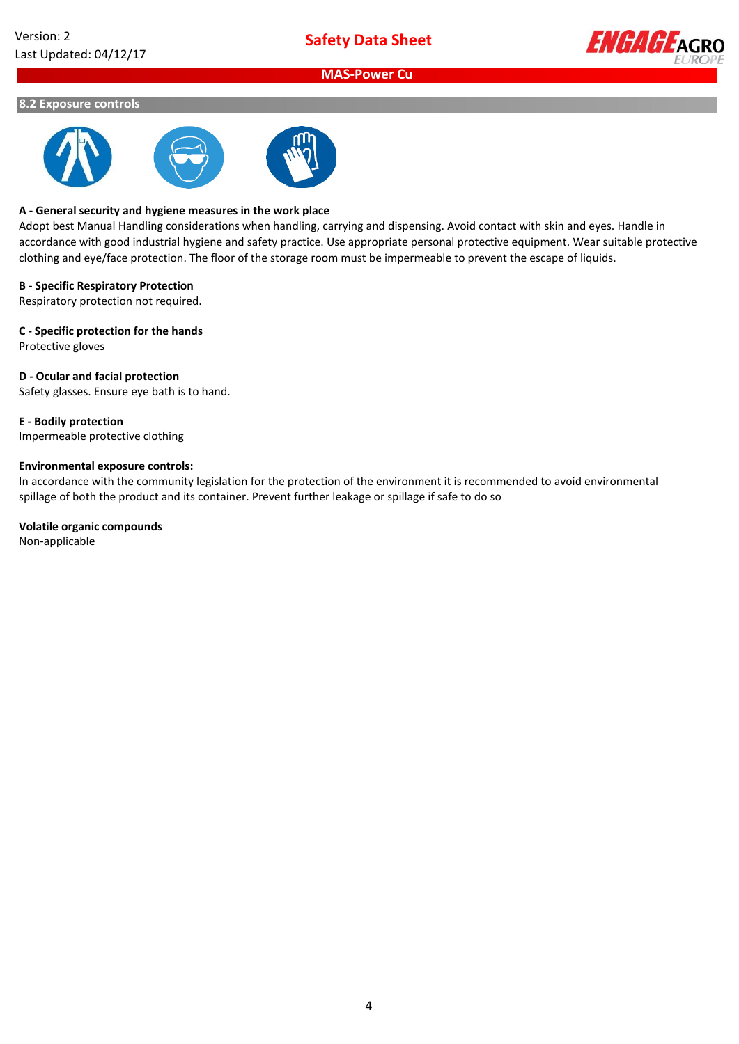

#### **8.2 Exposure controls**



#### **A - General security and hygiene measures in the work place**

Adopt best Manual Handling considerations when handling, carrying and dispensing. Avoid contact with skin and eyes. Handle in accordance with good industrial hygiene and safety practice. Use appropriate personal protective equipment. Wear suitable protective clothing and eye/face protection. The floor of the storage room must be impermeable to prevent the escape of liquids.

#### **B - Specific Respiratory Protection**

Respiratory protection not required.

**C - Specific protection for the hands**

Protective gloves

#### **D - Ocular and facial protection**

Safety glasses. Ensure eye bath is to hand.

**E - Bodily protection**

Impermeable protective clothing

#### **Environmental exposure controls:**

In accordance with the community legislation for the protection of the environment it is recommended to avoid environmental spillage of both the product and its container. Prevent further leakage or spillage if safe to do so

#### **Volatile organic compounds**

Non-applicable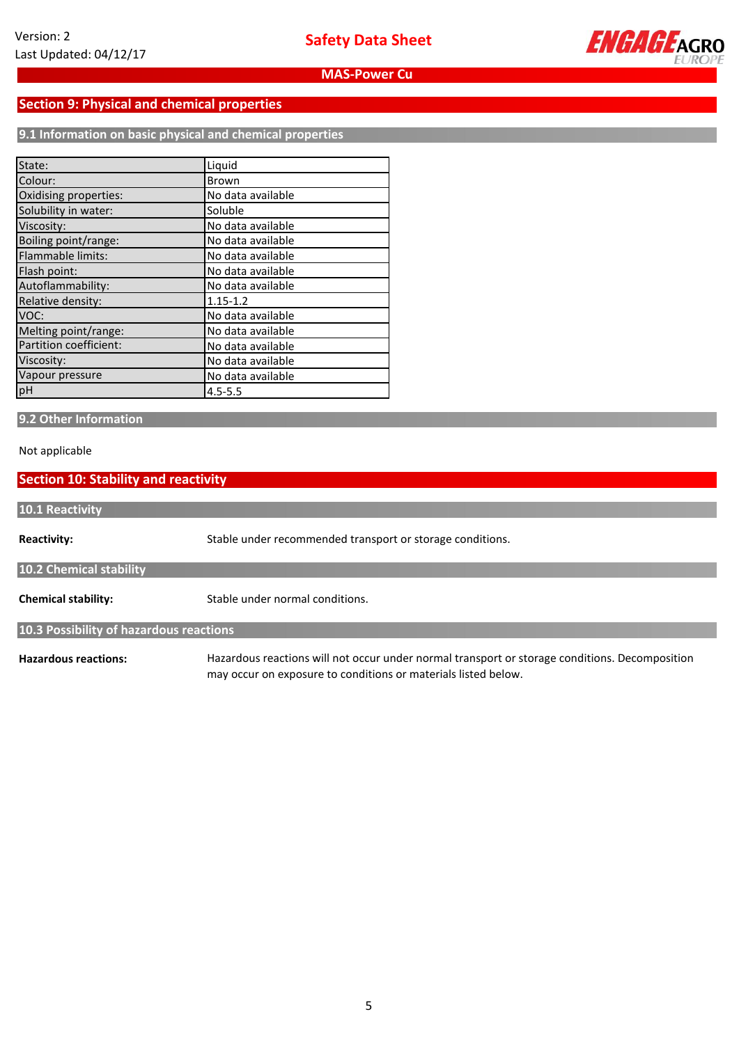

## **Section 9: Physical and chemical properties**

**9.1 Information on basic physical and chemical properties**

| State:                   | Liquid            |
|--------------------------|-------------------|
| Colour:                  | <b>Brown</b>      |
| Oxidising properties:    | No data available |
| Solubility in water:     | Soluble           |
| Viscosity:               | No data available |
| Boiling point/range:     | No data available |
| <b>Flammable limits:</b> | No data available |
| Flash point:             | No data available |
| Autoflammability:        | No data available |
| Relative density:        | $1.15 - 1.2$      |
| VOC:                     | No data available |
| Melting point/range:     | No data available |
| Partition coefficient:   | No data available |
| Viscosity:               | No data available |
| Vapour pressure          | No data available |
| pH                       | $4.5 - 5.5$       |

## **9.2 Other Information**

#### Not applicable

## **Section 10: Stability and reactivity**

| 10.1 Reactivity                         |                                                                                                |  |  |
|-----------------------------------------|------------------------------------------------------------------------------------------------|--|--|
|                                         |                                                                                                |  |  |
| <b>Reactivity:</b>                      | Stable under recommended transport or storage conditions.                                      |  |  |
| <b>10.2 Chemical stability</b>          |                                                                                                |  |  |
| <b>Chemical stability:</b>              | Stable under normal conditions.                                                                |  |  |
| 10.3 Possibility of hazardous reactions |                                                                                                |  |  |
| <b>Hazardous reactions:</b>             | Hazardous reactions will not occur under normal transport or storage conditions. Decomposition |  |  |

may occur on exposure to conditions or materials listed below.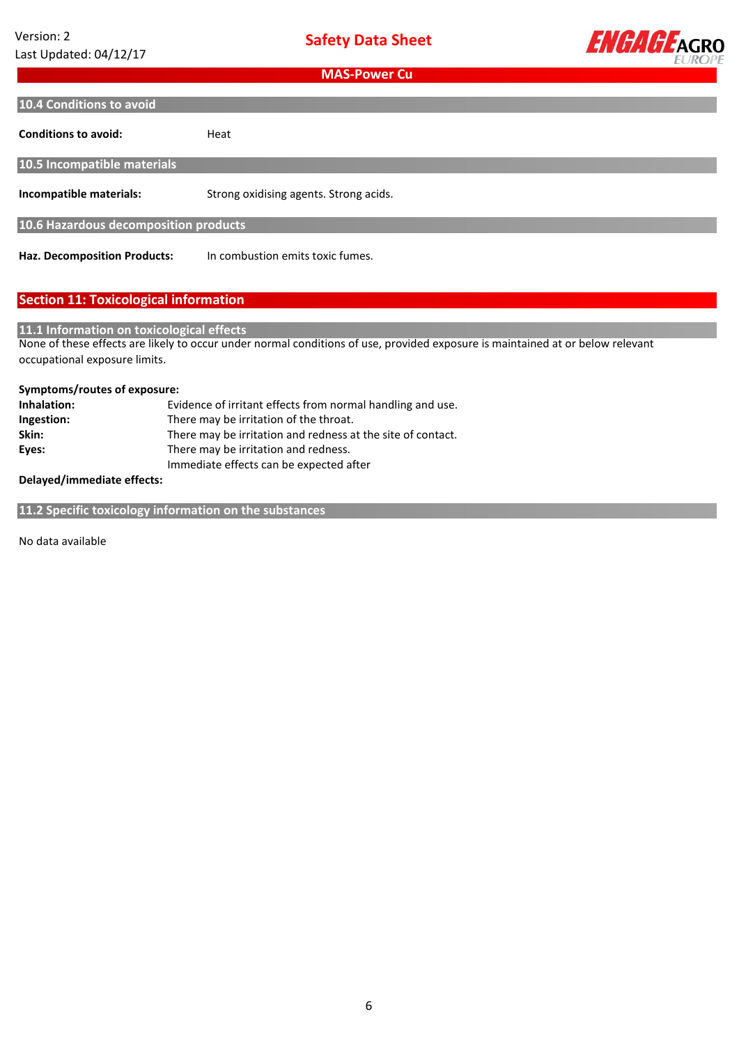

| <b>10.4 Conditions to avoid</b> |  |
|---------------------------------|--|
|                                 |  |

| <b>Conditions to avoid:</b>           | Heat                                   |  |
|---------------------------------------|----------------------------------------|--|
| 10.5 Incompatible materials           |                                        |  |
| Incompatible materials:               | Strong oxidising agents. Strong acids. |  |
| 10.6 Hazardous decomposition products |                                        |  |
| <b>Haz. Decomposition Products:</b>   | In combustion emits toxic fumes.       |  |

**Haz. Decomposition Products:**

## **Section 11: Toxicological information**

## **11.1 Information on toxicological effects**

None of these effects are likely to occur under normal conditions of use, provided exposure is maintained at or below relevant occupational exposure limits.

#### **Symptoms/routes of exposure:**

| Inhalation: | Evidence of irritant effects from normal handling and use.  |
|-------------|-------------------------------------------------------------|
| Ingestion:  | There may be irritation of the throat.                      |
| Skin:       | There may be irritation and redness at the site of contact. |
| Eyes:       | There may be irritation and redness.                        |
|             | Immediate effects can be expected after                     |

#### **Delayed/immediate effects:**

**11.2 Specific toxicology information on the substances**

No data available **available**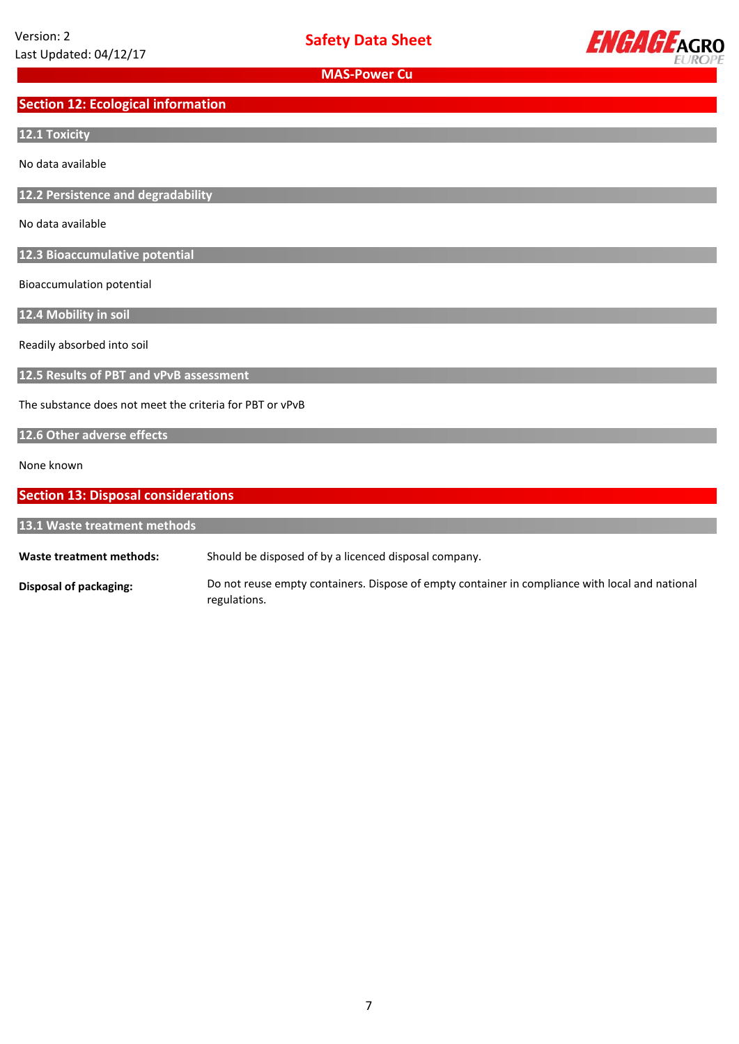

## **Section 12: Ecological information**

#### **12.1 Toxicity**

No data available

**12.2 Persistence and degradability**

No data available

**12.3 Bioaccumulative potential**

Bioaccumulation potential

**12.4 Mobility in soil**

Readily absorbed into soil

**12.5 Results of PBT and vPvB assessment**

The substance does not meet the criteria for PBT or vPvB

#### **12.6 Other adverse effects**

None known

## **Section 13: Disposal considerations**

**Waste treatment methods: 13.1 Waste treatment methods** Should be disposed of by a licenced disposal company.

**Disposal of packaging:** Do not reuse empty containers. Dispose of empty container in compliance with local and national regulations.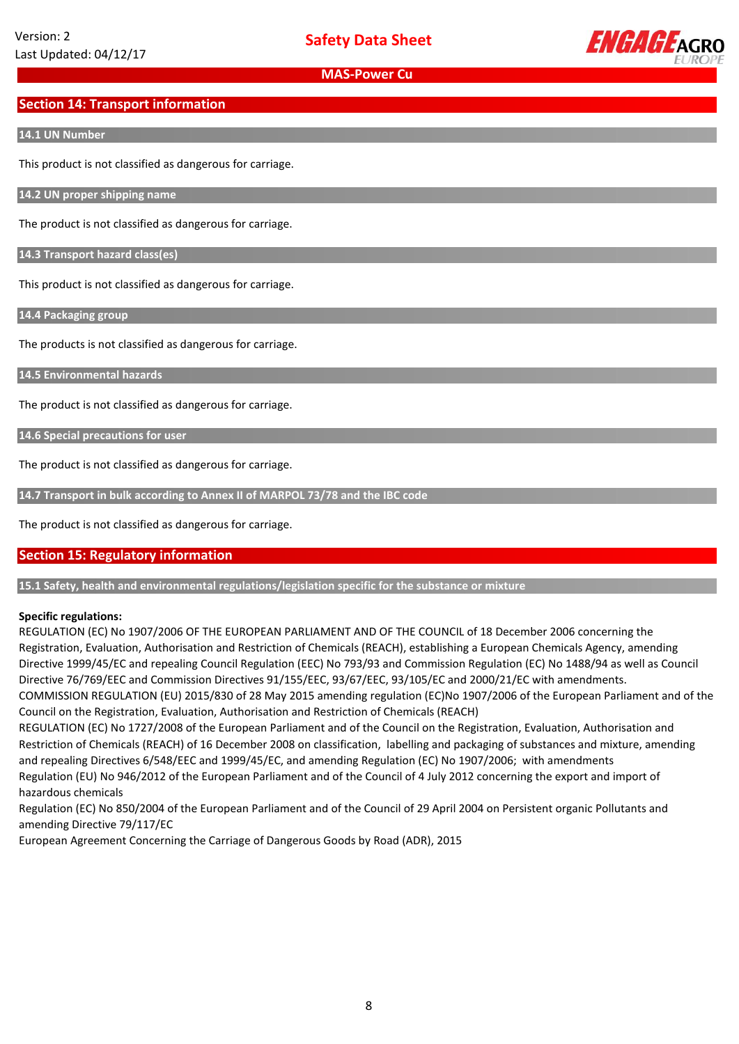

## **Section 14: Transport information**

#### **14.1 UN Number**

This product is not classified as dangerous for carriage.

**14.2 UN proper shipping name**

The product is not classified as dangerous for carriage.

**14.3 Transport hazard class(es)**

This product is not classified as dangerous for carriage.

**14.4 Packaging group**

The products is not classified as dangerous for carriage.

**14.5 Environmental hazards**

The product is not classified as dangerous for carriage.

**14.6 Special precautions for user**

The product is not classified as dangerous for carriage.

**14.7 Transport in bulk according to Annex II of MARPOL 73/78 and the IBC code**

The product is not classified as dangerous for carriage.

## **Section 15: Regulatory information**

**15.1 Safety, health and environmental regulations/legislation specific for the substance or mixture**

## **Specific regulations:**

REGULATION (EC) No 1907/2006 OF THE EUROPEAN PARLIAMENT AND OF THE COUNCIL of 18 December 2006 concerning the Registration, Evaluation, Authorisation and Restriction of Chemicals (REACH), establishing a European Chemicals Agency, amending Directive 1999/45/EC and repealing Council Regulation (EEC) No 793/93 and Commission Regulation (EC) No 1488/94 as well as Council Directive 76/769/EEC and Commission Directives 91/155/EEC, 93/67/EEC, 93/105/EC and 2000/21/EC with amendments. COMMISSION REGULATION (EU) 2015/830 of 28 May 2015 amending regulation (EC)No 1907/2006 of the European Parliament and of the

Council on the Registration, Evaluation, Authorisation and Restriction of Chemicals (REACH)

REGULATION (EC) No 1727/2008 of the European Parliament and of the Council on the Registration, Evaluation, Authorisation and Restriction of Chemicals (REACH) of 16 December 2008 on classification, labelling and packaging of substances and mixture, amending and repealing Directives 6/548/EEC and 1999/45/EC, and amending Regulation (EC) No 1907/2006; with amendments Regulation (EU) No 946/2012 of the European Parliament and of the Council of 4 July 2012 concerning the export and import of hazardous chemicals

Regulation (EC) No 850/2004 of the European Parliament and of the Council of 29 April 2004 on Persistent organic Pollutants and amending Directive 79/117/EC

European Agreement Concerning the Carriage of Dangerous Goods by Road (ADR), 2015